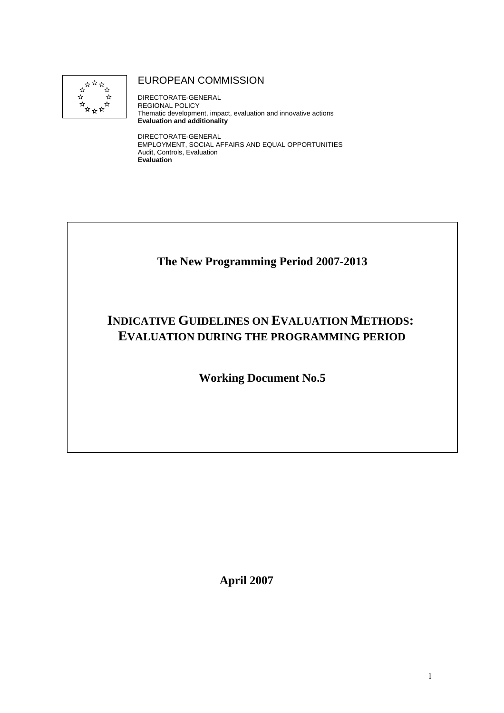

## EUROPEAN COMMISSION

DIRECTORATE-GENERAL REGIONAL POLICY Thematic development, impact, evaluation and innovative actions **Evaluation and additionality** 

DIRECTORATE-GENERAL EMPLOYMENT, SOCIAL AFFAIRS AND EQUAL OPPORTUNITIES Audit, Controls, Evaluation **Evaluation** 

# **The New Programming Period 2007-2013**

# **INDICATIVE GUIDELINES ON EVALUATION METHODS: EVALUATION DURING THE PROGRAMMING PERIOD**

**Working Document No.5** 

**April 2007**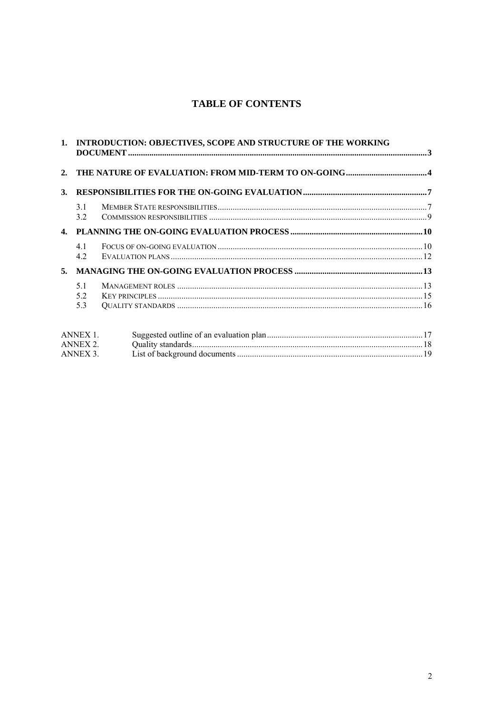## **TABLE OF CONTENTS**

|    | 1. INTRODUCTION: OBJECTIVES, SCOPE AND STRUCTURE OF THE WORKING |  |  |  |
|----|-----------------------------------------------------------------|--|--|--|
| 2. |                                                                 |  |  |  |
| 3. |                                                                 |  |  |  |
|    | 3.1<br>3.2                                                      |  |  |  |
|    |                                                                 |  |  |  |
|    | 4.1<br>4.2                                                      |  |  |  |
| 5. |                                                                 |  |  |  |
|    | 5.1<br>5.2<br>5.3                                               |  |  |  |
|    | ANNEX 1.<br>ANNEX 2.<br>ANNEX 3.                                |  |  |  |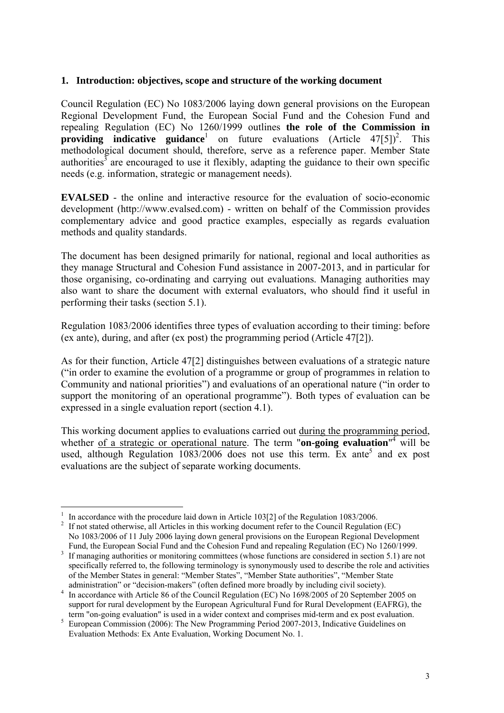#### <span id="page-2-0"></span>**1. Introduction: objectives, scope and structure of the working document**

Council Regulation (EC) No 1083/2006 laying down general provisions on the European Regional Development Fund, the European Social Fund and the Cohesion Fund and repealing Regulation (EC) No 1260/1999 outlines **the role of the Commission in providing indicative guidance**<sup>1</sup> on future evaluations (Article 47[5])<sup>2</sup>. This methodological document should, therefore, serve as a reference paper. Member State authorities<sup>3</sup> are encouraged to use it flexibly, adapting the guidance to their own specific needs (e.g. information, strategic or management needs).

**EVALSED** - the online and interactive resource for the evaluation of socio-economic development (http://www.evalsed.com) - written on behalf of the Commission provides complementary advice and good practice examples, especially as regards evaluation methods and quality standards.

The document has been designed primarily for national, regional and local authorities as they manage Structural and Cohesion Fund assistance in 2007-2013, and in particular for those organising, co-ordinating and carrying out evaluations. Managing authorities may also want to share the document with external evaluators, who should find it useful in performing their tasks (section 5.1).

Regulation 1083/2006 identifies three types of evaluation according to their timing: before (ex ante), during, and after (ex post) the programming period (Article 47[2]).

As for their function, Article 47[2] distinguishes between evaluations of a strategic nature ("in order to examine the evolution of a programme or group of programmes in relation to Community and national priorities") and evaluations of an operational nature ("in order to support the monitoring of an operational programme"). Both types of evaluation can be expressed in a single evaluation report (section 4.1).

This working document applies to evaluations carried out during the programming period, whether <u>of a strategic or operational nature</u>. The term "**on-going evaluation**"<sup>4</sup> will be used, although Regulation  $1083/2006$  does not use this term. Ex ante<sup>5</sup> and ex post evaluations are the subject of separate working documents.

 $\overline{a}$ 1 <sup>1</sup> In accordance with the procedure laid down in Article 103[2] of the Regulation 1083/2006.<br><sup>2</sup> If not stated otherwise, all Articles in this working document refer to the Council Regulation

If not stated otherwise, all Articles in this working document refer to the Council Regulation (EC) No 1083/2006 of 11 July 2006 laying down general provisions on the European Regional Development Fund, the European Social Fund and the Cohesion Fund and repealing Regulation (EC) No 1260/1999.

<sup>&</sup>lt;sup>3</sup> If managing authorities or monitoring committees (whose functions are considered in section 5.1) are not specifically referred to, the following terminology is synonymously used to describe the role and activities of the Member States in general: "Member States", "Member State authorities", "Member State administration" or "decision-makers" (often defined more broadly by including civil society).

administration" or "decision-makers" (often defined more broadly by including civil society).<br><sup>4</sup> In accordance with Article 86 of the Council Regulation (EC) No 1698/2005 of 20 September 2005 on support for rural development by the European Agricultural Fund for Rural Development (EAFRG), the

term "on-going evaluation" is used in a wider context and comprises mid-term and ex post evaluation. 5 European Commission (2006): The New Programming Period 2007-2013, Indicative Guidelines on Evaluation Methods: Ex Ante Evaluation, Working Document No. 1.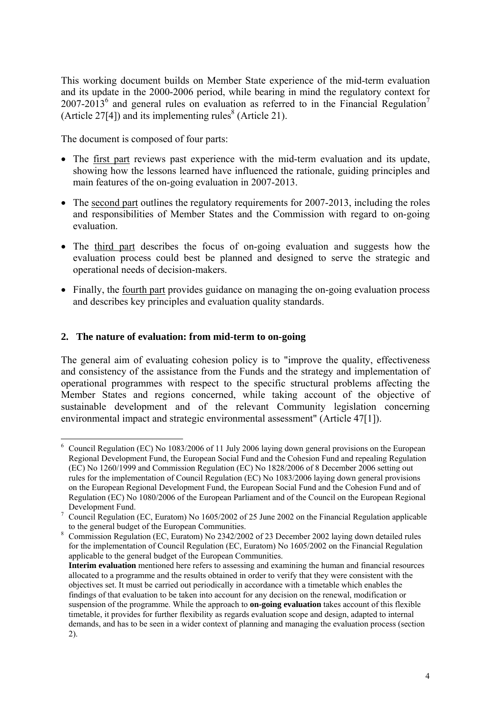This working document builds on Member State experience of the mid-term evaluation and its update in the 2000-2006 period, while bearing in mind the regulatory context for 2007-2013<sup>6</sup> and general rules on evaluation as referred to in the Financial Regulation<sup>7</sup> (Article 27[4]) and its implementing rules<sup>8</sup> (Article 21).

The document is composed of four parts:

- The first part reviews past experience with the mid-term evaluation and its update, showing how the lessons learned have influenced the rationale, guiding principles and main features of the on-going evaluation in 2007-2013.
- The second part outlines the regulatory requirements for 2007-2013, including the roles and responsibilities of Member States and the Commission with regard to on-going evaluation.
- The third part describes the focus of on-going evaluation and suggests how the evaluation process could best be planned and designed to serve the strategic and operational needs of decision-makers.
- Finally, the fourth part provides guidance on managing the on-going evaluation process and describes key principles and evaluation quality standards.

## <span id="page-3-0"></span>**2. The nature of evaluation: from mid-term to on-going**

 $\overline{a}$ 

The general aim of evaluating cohesion policy is to "improve the quality, effectiveness and consistency of the assistance from the Funds and the strategy and implementation of operational programmes with respect to the specific structural problems affecting the Member States and regions concerned, while taking account of the objective of sustainable development and of the relevant Community legislation concerning environmental impact and strategic environmental assessment" (Article 47[1]).

<sup>&</sup>lt;sup>6</sup> Council Regulation (EC) No 1083/2006 of 11 July 2006 laying down general provisions on the European Regional Development Fund, the European Social Fund and the Cohesion Fund and repealing Regulation (EC) No 1260/1999 and Commission Regulation (EC) No 1828/2006 of 8 December 2006 setting out rules for the implementation of Council Regulation (EC) No 1083/2006 laying down general provisions on the European Regional Development Fund, the European Social Fund and the Cohesion Fund and of Regulation (EC) No 1080/2006 of the European Parliament and of the Council on the European Regional

Development Fund.<br><sup>7</sup> Council Regulation (EC, Euratom) No 1605/2002 of 25 June 2002 on the Financial Regulation applicable

to the general budget of the European Communities.<br><sup>8</sup> Commission Regulation (EC, Euratom) No 2342/2002 of 23 December 2002 laying down detailed rules for the implementation of Council Regulation (EC, Euratom) No 1605/2002 on the Financial Regulation applicable to the general budget of the European Communities.

**Interim evaluation** mentioned here refers to assessing and examining the human and financial resources allocated to a programme and the results obtained in order to verify that they were consistent with the objectives set. It must be carried out periodically in accordance with a timetable which enables the findings of that evaluation to be taken into account for any decision on the renewal, modification or suspension of the programme. While the approach to **on-going evaluation** takes account of this flexible timetable, it provides for further flexibility as regards evaluation scope and design, adapted to internal demands, and has to be seen in a wider context of planning and managing the evaluation process (section 2).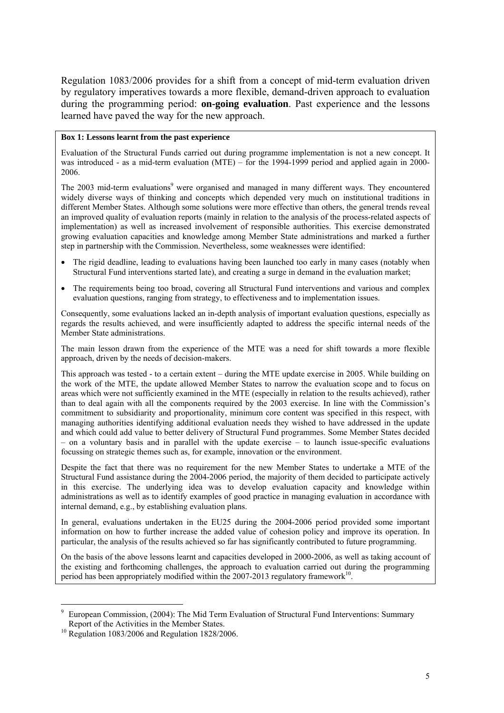Regulation 1083/2006 provides for a shift from a concept of mid-term evaluation driven by regulatory imperatives towards a more flexible, demand-driven approach to evaluation during the programming period: **on-going evaluation**. Past experience and the lessons learned have paved the way for the new approach.

#### **Box 1: Lessons learnt from the past experience**

Evaluation of the Structural Funds carried out during programme implementation is not a new concept. It was introduced - as a mid-term evaluation (MTE) – for the 1994-1999 period and applied again in 2000-2006.

The 2003 mid-term evaluations<sup>9</sup> were organised and managed in many different ways. They encountered widely diverse ways of thinking and concepts which depended very much on institutional traditions in different Member States. Although some solutions were more effective than others, the general trends reveal an improved quality of evaluation reports (mainly in relation to the analysis of the process-related aspects of implementation) as well as increased involvement of responsible authorities. This exercise demonstrated growing evaluation capacities and knowledge among Member State administrations and marked a further step in partnership with the Commission. Nevertheless, some weaknesses were identified:

- The rigid deadline, leading to evaluations having been launched too early in many cases (notably when Structural Fund interventions started late), and creating a surge in demand in the evaluation market;
- The requirements being too broad, covering all Structural Fund interventions and various and complex evaluation questions, ranging from strategy, to effectiveness and to implementation issues.

Consequently, some evaluations lacked an in-depth analysis of important evaluation questions, especially as regards the results achieved, and were insufficiently adapted to address the specific internal needs of the Member State administrations.

The main lesson drawn from the experience of the MTE was a need for shift towards a more flexible approach, driven by the needs of decision-makers.

This approach was tested - to a certain extent – during the MTE update exercise in 2005. While building on the work of the MTE, the update allowed Member States to narrow the evaluation scope and to focus on areas which were not sufficiently examined in the MTE (especially in relation to the results achieved), rather than to deal again with all the components required by the 2003 exercise. In line with the Commission's commitment to subsidiarity and proportionality, minimum core content was specified in this respect, with managing authorities identifying additional evaluation needs they wished to have addressed in the update and which could add value to better delivery of Structural Fund programmes. Some Member States decided – on a voluntary basis and in parallel with the update exercise – to launch issue-specific evaluations focussing on strategic themes such as, for example, innovation or the environment.

Despite the fact that there was no requirement for the new Member States to undertake a MTE of the Structural Fund assistance during the 2004-2006 period, the majority of them decided to participate actively in this exercise. The underlying idea was to develop evaluation capacity and knowledge within administrations as well as to identify examples of good practice in managing evaluation in accordance with internal demand, e.g., by establishing evaluation plans.

In general, evaluations undertaken in the EU25 during the 2004-2006 period provided some important information on how to further increase the added value of cohesion policy and improve its operation. In particular, the analysis of the results achieved so far has significantly contributed to future programming.

On the basis of the above lessons learnt and capacities developed in 2000-2006, as well as taking account of the existing and forthcoming challenges, the approach to evaluation carried out during the programming period has been appropriately modified within the  $2007-2013$  regulatory framework<sup>10</sup>.

 $\overline{a}$ 

<sup>9</sup> European Commission, (2004): The Mid Term Evaluation of Structural Fund Interventions: Summary Report of the Activities in the Member States. 10 Regulation 1083/2006 and Regulation 1828/2006.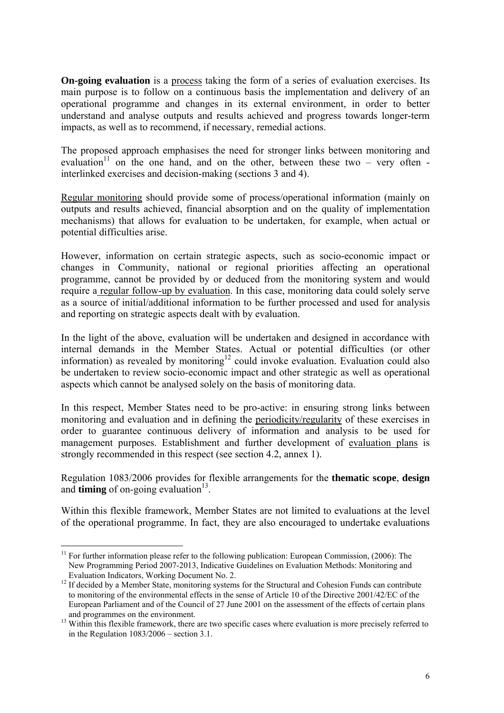**On-going evaluation** is a process taking the form of a series of evaluation exercises. Its main purpose is to follow on a continuous basis the implementation and delivery of an operational programme and changes in its external environment, in order to better understand and analyse outputs and results achieved and progress towards longer-term impacts, as well as to recommend, if necessary, remedial actions.

The proposed approach emphasises the need for stronger links between monitoring and evaluation<sup>11</sup> on the one hand, and on the other, between these two – very often interlinked exercises and decision-making (sections 3 and 4).

Regular monitoring should provide some of process/operational information (mainly on outputs and results achieved, financial absorption and on the quality of implementation mechanisms) that allows for evaluation to be undertaken, for example, when actual or potential difficulties arise.

However, information on certain strategic aspects, such as socio-economic impact or changes in Community, national or regional priorities affecting an operational programme, cannot be provided by or deduced from the monitoring system and would require a regular follow-up by evaluation. In this case, monitoring data could solely serve as a source of initial/additional information to be further processed and used for analysis and reporting on strategic aspects dealt with by evaluation.

In the light of the above, evaluation will be undertaken and designed in accordance with internal demands in the Member States. Actual or potential difficulties (or other information) as revealed by monitoring<sup>12</sup> could invoke evaluation. Evaluation could also be undertaken to review socio-economic impact and other strategic as well as operational aspects which cannot be analysed solely on the basis of monitoring data.

In this respect, Member States need to be pro-active: in ensuring strong links between monitoring and evaluation and in defining the periodicity/regularity of these exercises in order to guarantee continuous delivery of information and analysis to be used for management purposes. Establishment and further development of evaluation plans is strongly recommended in this respect (see section 4.2, annex 1).

Regulation 1083/2006 provides for flexible arrangements for the **thematic scope**, **design** and **timing** of on-going evaluation<sup>13</sup>.

Within this flexible framework, Member States are not limited to evaluations at the level of the operational programme. In fact, they are also encouraged to undertake evaluations

 $\overline{a}$  $11$  For further information please refer to the following publication: European Commission, (2006): The New Programming Period 2007-2013, Indicative Guidelines on Evaluation Methods: Monitoring and

Evaluation Indicators, Working Document No. 2. 12 If decided by a Member State, monitoring systems for the Structural and Cohesion Funds can contribute to monitoring of the environmental effects in the sense of Article 10 of the Directive 2001/42/EC of the European Parliament and of the Council of 27 June 2001 on the assessment of the effects of certain plans

and programmes on the environment.<br><sup>13</sup> Within this flexible framework, there are two specific cases where evaluation is more precisely referred to in the Regulation  $1083/2006$  – section 3.1.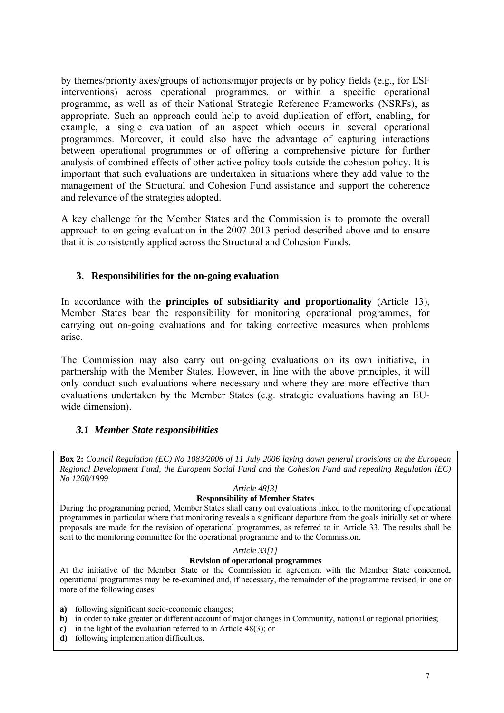by themes/priority axes/groups of actions/major projects or by policy fields (e.g., for ESF interventions) across operational programmes, or within a specific operational programme, as well as of their National Strategic Reference Frameworks (NSRFs), as appropriate. Such an approach could help to avoid duplication of effort, enabling, for example, a single evaluation of an aspect which occurs in several operational programmes. Moreover, it could also have the advantage of capturing interactions between operational programmes or of offering a comprehensive picture for further analysis of combined effects of other active policy tools outside the cohesion policy. It is important that such evaluations are undertaken in situations where they add value to the management of the Structural and Cohesion Fund assistance and support the coherence and relevance of the strategies adopted.

A key challenge for the Member States and the Commission is to promote the overall approach to on-going evaluation in the 2007-2013 period described above and to ensure that it is consistently applied across the Structural and Cohesion Funds.

#### **3. Responsibilities for the on-going evaluation**

<span id="page-6-0"></span>In accordance with the **principles of subsidiarity and proportionality** (Article 13), Member States bear the responsibility for monitoring operational programmes, for carrying out on-going evaluations and for taking corrective measures when problems arise.

The Commission may also carry out on-going evaluations on its own initiative, in partnership with the Member States. However, in line with the above principles, it will only conduct such evaluations where necessary and where they are more effective than evaluations undertaken by the Member States (e.g. strategic evaluations having an EUwide dimension).

#### *3.1 Member State responsibilities*

<span id="page-6-1"></span>**Box 2:** *Council Regulation (EC) No 1083/2006 of 11 July 2006 laying down general provisions on the European Regional Development Fund, the European Social Fund and the Cohesion Fund and repealing Regulation (EC) No 1260/1999* 

#### *Article 48[3]*

#### **Responsibility of Member States**

During the programming period, Member States shall carry out evaluations linked to the monitoring of operational programmes in particular where that monitoring reveals a significant departure from the goals initially set or where proposals are made for the revision of operational programmes, as referred to in Article 33. The results shall be sent to the monitoring committee for the operational programme and to the Commission.

#### *Article 33[1]*

#### **Revision of operational programmes**

At the initiative of the Member State or the Commission in agreement with the Member State concerned, operational programmes may be re-examined and, if necessary, the remainder of the programme revised, in one or more of the following cases:

- **a)** following significant socio-economic changes;
- **b**) in order to take greater or different account of major changes in Community, national or regional priorities;
- **c)** in the light of the evaluation referred to in Article 48(3); or
- **d)** following implementation difficulties.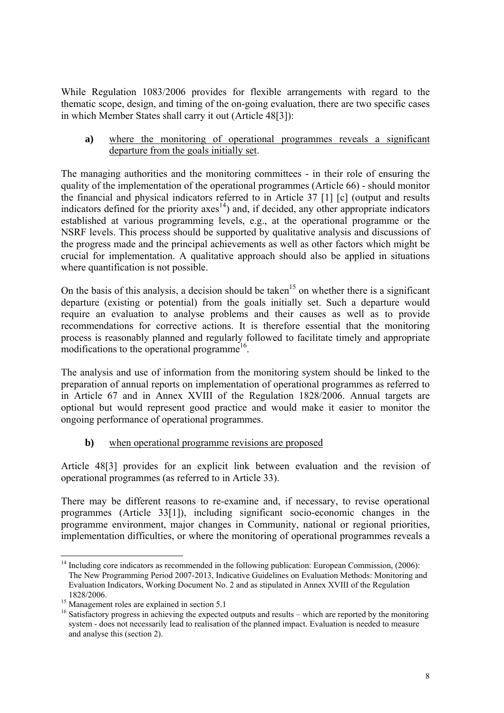While Regulation 1083/2006 provides for flexible arrangements with regard to the thematic scope, design, and timing of the on-going evaluation, there are two specific cases in which Member States shall carry it out (Article 48[3]):

**a)** where the monitoring of operational programmes reveals a significant departure from the goals initially set.

The managing authorities and the monitoring committees - in their role of ensuring the quality of the implementation of the operational programmes (Article 66) - should monitor the financial and physical indicators referred to in Article 37 [1] [c] (output and results indicators defined for the priority  $axes<sup>14</sup>$  and, if decided, any other appropriate indicators established at various programming levels, e.g., at the operational programme or the NSRF levels. This process should be supported by qualitative analysis and discussions of the progress made and the principal achievements as well as other factors which might be crucial for implementation. A qualitative approach should also be applied in situations where quantification is not possible.

On the basis of this analysis, a decision should be taken<sup>15</sup> on whether there is a significant departure (existing or potential) from the goals initially set. Such a departure would require an evaluation to analyse problems and their causes as well as to provide recommendations for corrective actions. It is therefore essential that the monitoring process is reasonably planned and regularly followed to facilitate timely and appropriate modifications to the operational programme<sup>16</sup>.

The analysis and use of information from the monitoring system should be linked to the preparation of annual reports on implementation of operational programmes as referred to in Article 67 and in Annex XVIII of the Regulation 1828/2006. Annual targets are optional but would represent good practice and would make it easier to monitor the ongoing performance of operational programmes.

## **b**) when operational programme revisions are proposed

Article 48[3] provides for an explicit link between evaluation and the revision of operational programmes (as referred to in Article 33).

There may be different reasons to re-examine and, if necessary, to revise operational programmes (Article 33[1]), including significant socio-economic changes in the programme environment, major changes in Community, national or regional priorities, implementation difficulties, or where the monitoring of operational programmes reveals a

 $\overline{a}$ <sup>14</sup> Including core indicators as recommended in the following publication: European Commission, (2006): The New Programming Period 2007-2013, Indicative Guidelines on Evaluation Methods: Monitoring and Evaluation Indicators, Working Document No. 2 and as stipulated in Annex XVIII of the Regulation 1828/2006. 15 Management roles are explained in section 5.1

<sup>&</sup>lt;sup>16</sup> Satisfactory progress in achieving the expected outputs and results – which are reported by the monitoring system - does not necessarily lead to realisation of the planned impact. Evaluation is needed to measure and analyse this (section 2).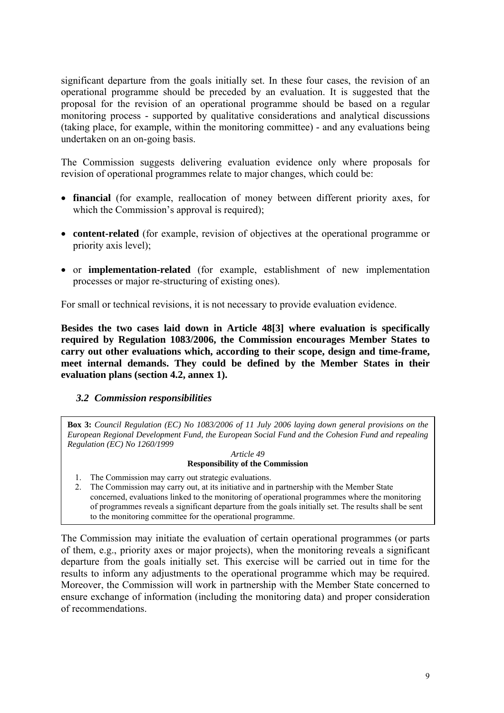significant departure from the goals initially set. In these four cases, the revision of an operational programme should be preceded by an evaluation. It is suggested that the proposal for the revision of an operational programme should be based on a regular monitoring process - supported by qualitative considerations and analytical discussions (taking place, for example, within the monitoring committee) - and any evaluations being undertaken on an on-going basis.

The Commission suggests delivering evaluation evidence only where proposals for revision of operational programmes relate to major changes, which could be:

- **financial** (for example, reallocation of money between different priority axes, for which the Commission's approval is required);
- **content-related** (for example, revision of objectives at the operational programme or priority axis level);
- or **implementation-related** (for example, establishment of new implementation processes or major re-structuring of existing ones).

For small or technical revisions, it is not necessary to provide evaluation evidence.

**Besides the two cases laid down in Article 48[3] where evaluation is specifically required by Regulation 1083/2006, the Commission encourages Member States to carry out other evaluations which, according to their scope, design and time-frame, meet internal demands. They could be defined by the Member States in their evaluation plans (section 4.2, annex 1).**

## <span id="page-8-0"></span>*3.2 Commission responsibilities*

**Box 3:** *Council Regulation (EC) No 1083/2006 of 11 July 2006 laying down general provisions on the European Regional Development Fund, the European Social Fund and the Cohesion Fund and repealing Regulation (EC) No 1260/1999* 

#### *Article 49*  **Responsibility of the Commission**

- 1. The Commission may carry out strategic evaluations.
- 2. The Commission may carry out, at its initiative and in partnership with the Member State concerned, evaluations linked to the monitoring of operational programmes where the monitoring of programmes reveals a significant departure from the goals initially set. The results shall be sent to the monitoring committee for the operational programme.

The Commission may initiate the evaluation of certain operational programmes (or parts of them, e.g., priority axes or major projects), when the monitoring reveals a significant departure from the goals initially set. This exercise will be carried out in time for the results to inform any adjustments to the operational programme which may be required. Moreover, the Commission will work in partnership with the Member State concerned to ensure exchange of information (including the monitoring data) and proper consideration of recommendations.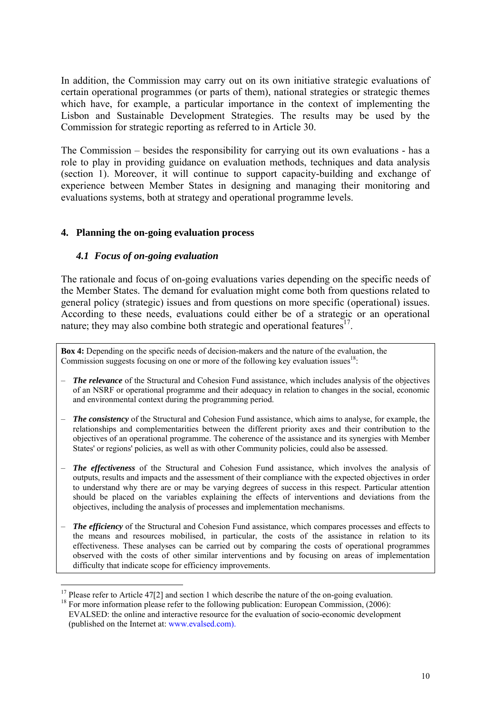In addition, the Commission may carry out on its own initiative strategic evaluations of certain operational programmes (or parts of them), national strategies or strategic themes which have, for example, a particular importance in the context of implementing the Lisbon and Sustainable Development Strategies. The results may be used by the Commission for strategic reporting as referred to in Article 30.

The Commission – besides the responsibility for carrying out its own evaluations - has a role to play in providing guidance on evaluation methods, techniques and data analysis (section 1). Moreover, it will continue to support capacity-building and exchange of experience between Member States in designing and managing their monitoring and evaluations systems, both at strategy and operational programme levels.

#### <span id="page-9-1"></span><span id="page-9-0"></span>**4. Planning the on-going evaluation process**

#### *4.1 Focus of on-going evaluation*

The rationale and focus of on-going evaluations varies depending on the specific needs of the Member States. The demand for evaluation might come both from questions related to general policy (strategic) issues and from questions on more specific (operational) issues. According to these needs, evaluations could either be of a strategic or an operational nature; they may also combine both strategic and operational features $17$ .

**Box 4:** Depending on the specific needs of decision-makers and the nature of the evaluation, the Commission suggests focusing on one or more of the following key evaluation issues<sup>18</sup>:

- *The relevance* of the Structural and Cohesion Fund assistance, which includes analysis of the objectives of an NSRF or operational programme and their adequacy in relation to changes in the social, economic and environmental context during the programming period.
- *The consistency* of the Structural and Cohesion Fund assistance, which aims to analyse, for example, the relationships and complementarities between the different priority axes and their contribution to the objectives of an operational programme. The coherence of the assistance and its synergies with Member States' or regions' policies, as well as with other Community policies, could also be assessed.
- *The effectiveness* of the Structural and Cohesion Fund assistance, which involves the analysis of outputs, results and impacts and the assessment of their compliance with the expected objectives in order to understand why there are or may be varying degrees of success in this respect. Particular attention should be placed on the variables explaining the effects of interventions and deviations from the objectives, including the analysis of processes and implementation mechanisms.
- *The efficiency* of the Structural and Cohesion Fund assistance, which compares processes and effects to the means and resources mobilised, in particular, the costs of the assistance in relation to its effectiveness. These analyses can be carried out by comparing the costs of operational programmes observed with the costs of other similar interventions and by focusing on areas of implementation difficulty that indicate scope for efficiency improvements.

 $\overline{a}$ <sup>17</sup> Please refer to Article 47[2] and section 1 which describe the nature of the on-going evaluation.

<sup>&</sup>lt;sup>18</sup> For more information please refer to the following publication: European Commission, (2006): EVALSED: the online and interactive resource for the evaluation of socio-economic development (published on the Internet at: www.evalsed.com).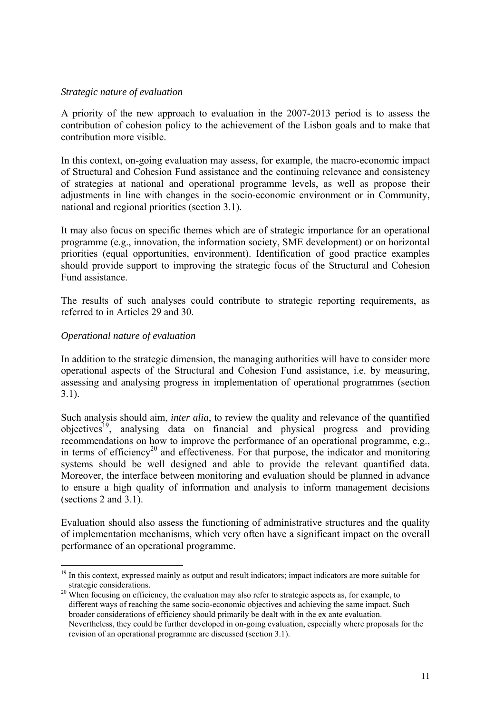#### *Strategic nature of evaluation*

A priority of the new approach to evaluation in the 2007-2013 period is to assess the contribution of cohesion policy to the achievement of the Lisbon goals and to make that contribution more visible.

In this context, on-going evaluation may assess, for example, the macro-economic impact of Structural and Cohesion Fund assistance and the continuing relevance and consistency of strategies at national and operational programme levels, as well as propose their adjustments in line with changes in the socio-economic environment or in Community, national and regional priorities (section 3.1).

It may also focus on specific themes which are of strategic importance for an operational programme (e.g., innovation, the information society, SME development) or on horizontal priorities (equal opportunities, environment). Identification of good practice examples should provide support to improving the strategic focus of the Structural and Cohesion Fund assistance.

The results of such analyses could contribute to strategic reporting requirements, as referred to in Articles 29 and 30.

#### *Operational nature of evaluation*

 $\overline{a}$ 

In addition to the strategic dimension, the managing authorities will have to consider more operational aspects of the Structural and Cohesion Fund assistance, i.e. by measuring, assessing and analysing progress in implementation of operational programmes (section 3.1).

Such analysis should aim, *inter alia*, to review the quality and relevance of the quantified objectives19, analysing data on financial and physical progress and providing recommendations on how to improve the performance of an operational programme, e.g., in terms of efficiency<sup>20</sup> and effectiveness. For that purpose, the indicator and monitoring systems should be well designed and able to provide the relevant quantified data. Moreover, the interface between monitoring and evaluation should be planned in advance to ensure a high quality of information and analysis to inform management decisions (sections 2 and 3.1).

Evaluation should also assess the functioning of administrative structures and the quality of implementation mechanisms, which very often have a significant impact on the overall performance of an operational programme.

<sup>&</sup>lt;sup>19</sup> In this context, expressed mainly as output and result indicators; impact indicators are more suitable for

strategic considerations.<br><sup>20</sup> When focusing on efficiency, the evaluation may also refer to strategic aspects as, for example, to different ways of reaching the same socio-economic objectives and achieving the same impact. Such broader considerations of efficiency should primarily be dealt with in the ex ante evaluation. Nevertheless, they could be further developed in on-going evaluation, especially where proposals for the revision of an operational programme are discussed (section 3.1).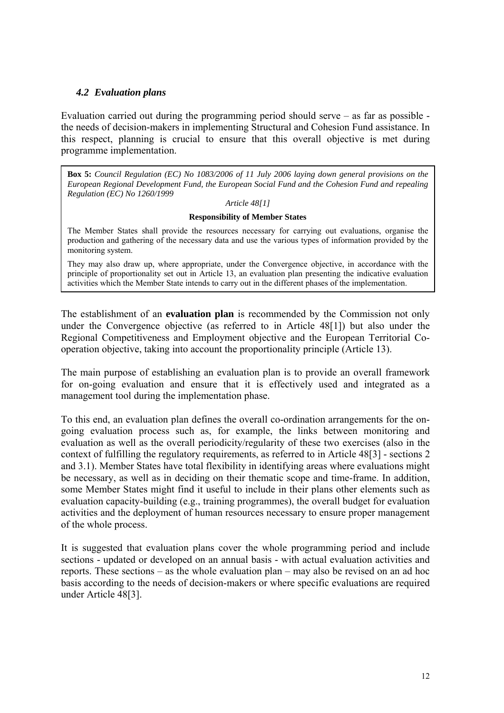#### *4.2 Evaluation plans*

<span id="page-11-0"></span>Evaluation carried out during the programming period should serve – as far as possible the needs of decision-makers in implementing Structural and Cohesion Fund assistance. In this respect, planning is crucial to ensure that this overall objective is met during programme implementation.

**Box 5:** *Council Regulation (EC) No 1083/2006 of 11 July 2006 laying down general provisions on the European Regional Development Fund, the European Social Fund and the Cohesion Fund and repealing Regulation (EC) No 1260/1999* 

#### *Article 48[1]*

#### **Responsibility of Member States**

The Member States shall provide the resources necessary for carrying out evaluations, organise the production and gathering of the necessary data and use the various types of information provided by the monitoring system.

They may also draw up, where appropriate, under the Convergence objective, in accordance with the principle of proportionality set out in Article 13, an evaluation plan presenting the indicative evaluation activities which the Member State intends to carry out in the different phases of the implementation.

The establishment of an **evaluation plan** is recommended by the Commission not only under the Convergence objective (as referred to in Article 48[1]) but also under the Regional Competitiveness and Employment objective and the European Territorial Cooperation objective, taking into account the proportionality principle (Article 13).

The main purpose of establishing an evaluation plan is to provide an overall framework for on-going evaluation and ensure that it is effectively used and integrated as a management tool during the implementation phase.

To this end, an evaluation plan defines the overall co-ordination arrangements for the ongoing evaluation process such as, for example, the links between monitoring and evaluation as well as the overall periodicity/regularity of these two exercises (also in the context of fulfilling the regulatory requirements, as referred to in Article 48[3] - sections 2 and 3.1). Member States have total flexibility in identifying areas where evaluations might be necessary, as well as in deciding on their thematic scope and time-frame. In addition, some Member States might find it useful to include in their plans other elements such as evaluation capacity-building (e.g., training programmes), the overall budget for evaluation activities and the deployment of human resources necessary to ensure proper management of the whole process.

It is suggested that evaluation plans cover the whole programming period and include sections - updated or developed on an annual basis - with actual evaluation activities and reports. These sections – as the whole evaluation plan – may also be revised on an ad hoc basis according to the needs of decision-makers or where specific evaluations are required under Article 48[3].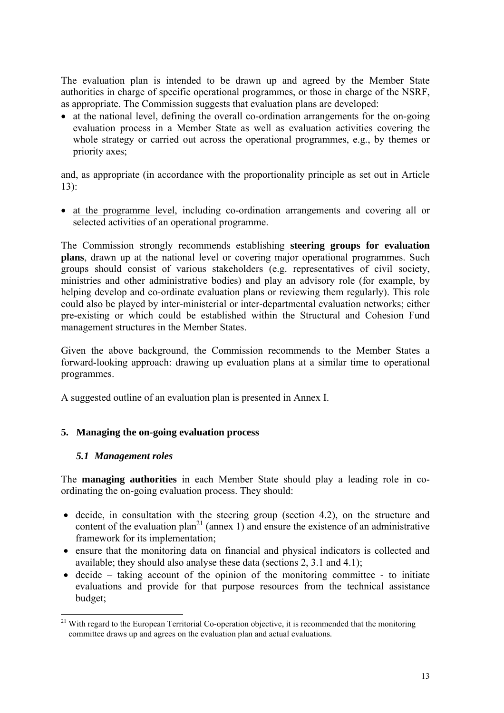The evaluation plan is intended to be drawn up and agreed by the Member State authorities in charge of specific operational programmes, or those in charge of the NSRF, as appropriate. The Commission suggests that evaluation plans are developed:

• at the national level, defining the overall co-ordination arrangements for the on-going evaluation process in a Member State as well as evaluation activities covering the whole strategy or carried out across the operational programmes, e.g., by themes or priority axes;

and, as appropriate (in accordance with the proportionality principle as set out in Article 13):

• at the programme level, including co-ordination arrangements and covering all or selected activities of an operational programme.

The Commission strongly recommends establishing **steering groups for evaluation plans**, drawn up at the national level or covering major operational programmes. Such groups should consist of various stakeholders (e.g. representatives of civil society, ministries and other administrative bodies) and play an advisory role (for example, by helping develop and co-ordinate evaluation plans or reviewing them regularly). This role could also be played by inter-ministerial or inter-departmental evaluation networks; either pre-existing or which could be established within the Structural and Cohesion Fund management structures in the Member States.

Given the above background, the Commission recommends to the Member States a forward-looking approach: drawing up evaluation plans at a similar time to operational programmes.

A suggested outline of an evaluation plan is presented in Annex I.

## <span id="page-12-1"></span><span id="page-12-0"></span>**5. Managing the on-going evaluation process**

#### *5.1 Management roles*

The **managing authorities** in each Member State should play a leading role in coordinating the on-going evaluation process. They should:

- decide, in consultation with the steering group (section 4.2), on the structure and content of the evaluation plan<sup>21</sup> (annex 1) and ensure the existence of an administrative framework for its implementation;
- ensure that the monitoring data on financial and physical indicators is collected and available; they should also analyse these data (sections 2, 3.1 and 4.1);
- decide taking account of the opinion of the monitoring committee to initiate evaluations and provide for that purpose resources from the technical assistance budget;

 $\overline{a}$  $21$  With regard to the European Territorial Co-operation objective, it is recommended that the monitoring committee draws up and agrees on the evaluation plan and actual evaluations.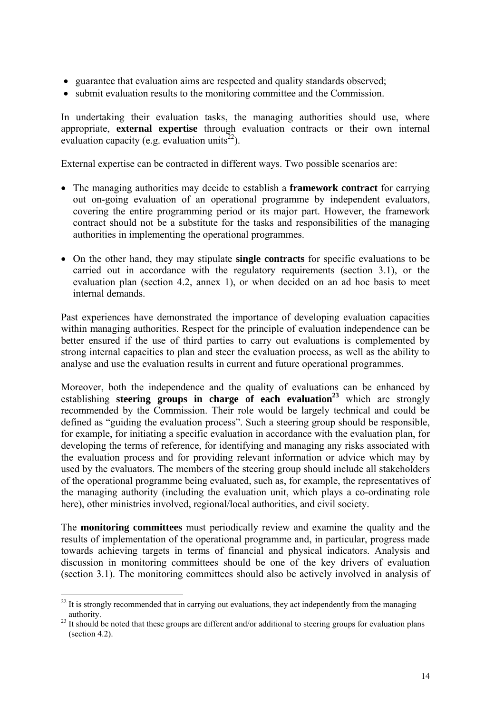- guarantee that evaluation aims are respected and quality standards observed;
- submit evaluation results to the monitoring committee and the Commission.

In undertaking their evaluation tasks, the managing authorities should use, where appropriate, **external expertise** through evaluation contracts or their own internal evaluation capacity (e.g. evaluation units<sup>22</sup>).

External expertise can be contracted in different ways. Two possible scenarios are:

- The managing authorities may decide to establish a **framework contract** for carrying out on-going evaluation of an operational programme by independent evaluators, covering the entire programming period or its major part. However, the framework contract should not be a substitute for the tasks and responsibilities of the managing authorities in implementing the operational programmes.
- On the other hand, they may stipulate **single contracts** for specific evaluations to be carried out in accordance with the regulatory requirements (section 3.1), or the evaluation plan (section 4.2, annex 1), or when decided on an ad hoc basis to meet internal demands.

Past experiences have demonstrated the importance of developing evaluation capacities within managing authorities. Respect for the principle of evaluation independence can be better ensured if the use of third parties to carry out evaluations is complemented by strong internal capacities to plan and steer the evaluation process, as well as the ability to analyse and use the evaluation results in current and future operational programmes.

Moreover, both the independence and the quality of evaluations can be enhanced by establishing **steering groups in charge of each evaluation**<sup>23</sup> which are strongly recommended by the Commission. Their role would be largely technical and could be defined as "guiding the evaluation process". Such a steering group should be responsible, for example, for initiating a specific evaluation in accordance with the evaluation plan, for developing the terms of reference, for identifying and managing any risks associated with the evaluation process and for providing relevant information or advice which may by used by the evaluators. The members of the steering group should include all stakeholders of the operational programme being evaluated, such as, for example, the representatives of the managing authority (including the evaluation unit, which plays a co-ordinating role here), other ministries involved, regional/local authorities, and civil society.

The **monitoring committees** must periodically review and examine the quality and the results of implementation of the operational programme and, in particular, progress made towards achieving targets in terms of financial and physical indicators. Analysis and discussion in monitoring committees should be one of the key drivers of evaluation (section 3.1). The monitoring committees should also be actively involved in analysis of

 $\overline{a}$ 

 $^{22}$  It is strongly recommended that in carrying out evaluations, they act independently from the managing authority.<br><sup>23</sup> It should be noted that these groups are different and/or additional to steering groups for evaluation plans

<sup>(</sup>section 4.2).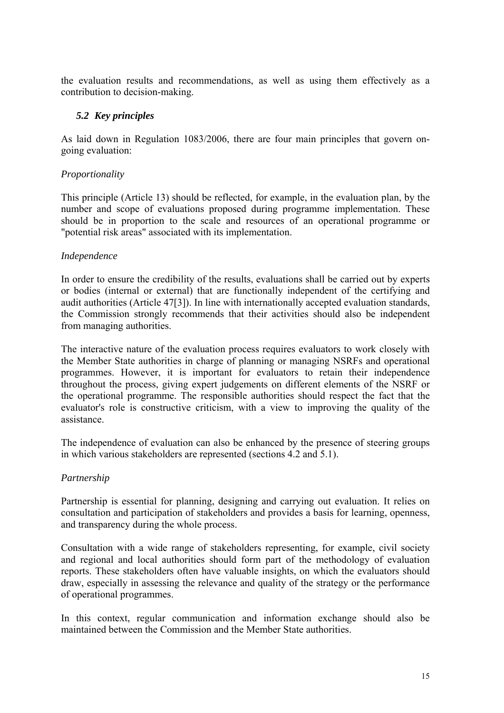<span id="page-14-0"></span>the evaluation results and recommendations, as well as using them effectively as a contribution to decision-making.

## *5.2 Key principles*

As laid down in Regulation 1083/2006, there are four main principles that govern ongoing evaluation:

## *Proportionality*

This principle (Article 13) should be reflected, for example, in the evaluation plan, by the number and scope of evaluations proposed during programme implementation. These should be in proportion to the scale and resources of an operational programme or "potential risk areas" associated with its implementation.

## *Independence*

In order to ensure the credibility of the results, evaluations shall be carried out by experts or bodies (internal or external) that are functionally independent of the certifying and audit authorities (Article 47[3]). In line with internationally accepted evaluation standards, the Commission strongly recommends that their activities should also be independent from managing authorities.

The interactive nature of the evaluation process requires evaluators to work closely with the Member State authorities in charge of planning or managing NSRFs and operational programmes. However, it is important for evaluators to retain their independence throughout the process, giving expert judgements on different elements of the NSRF or the operational programme. The responsible authorities should respect the fact that the evaluator's role is constructive criticism, with a view to improving the quality of the assistance.

The independence of evaluation can also be enhanced by the presence of steering groups in which various stakeholders are represented (sections 4.2 and 5.1).

## *Partnership*

Partnership is essential for planning, designing and carrying out evaluation. It relies on consultation and participation of stakeholders and provides a basis for learning, openness, and transparency during the whole process.

Consultation with a wide range of stakeholders representing, for example, civil society and regional and local authorities should form part of the methodology of evaluation reports. These stakeholders often have valuable insights, on which the evaluators should draw, especially in assessing the relevance and quality of the strategy or the performance of operational programmes.

In this context, regular communication and information exchange should also be maintained between the Commission and the Member State authorities.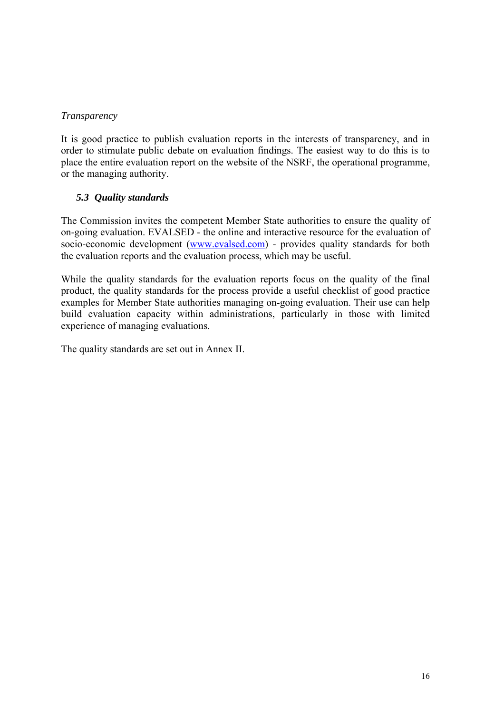## *Transparency*

It is good practice to publish evaluation reports in the interests of transparency, and in order to stimulate public debate on evaluation findings. The easiest way to do this is to place the entire evaluation report on the website of the NSRF, the operational programme, or the managing authority.

## *5.3 Quality standards*

<span id="page-15-0"></span>The Commission invites the competent Member State authorities to ensure the quality of on-going evaluation. EVALSED - the online and interactive resource for the evaluation of socio-economic development [\(www.evalsed.com\)](http://www.evalsed.com/) - provides quality standards for both the evaluation reports and the evaluation process, which may be useful.

While the quality standards for the evaluation reports focus on the quality of the final product, the quality standards for the process provide a useful checklist of good practice examples for Member State authorities managing on-going evaluation. Their use can help build evaluation capacity within administrations, particularly in those with limited experience of managing evaluations.

The quality standards are set out in Annex II.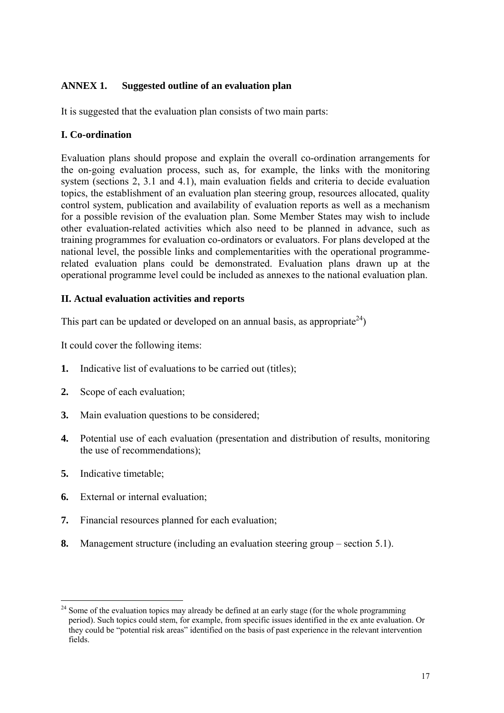## <span id="page-16-0"></span>**ANNEX 1. Suggested outline of an evaluation plan**

It is suggested that the evaluation plan consists of two main parts:

## **I. Co-ordination**

Evaluation plans should propose and explain the overall co-ordination arrangements for the on-going evaluation process, such as, for example, the links with the monitoring system (sections 2, 3.1 and 4.1), main evaluation fields and criteria to decide evaluation topics, the establishment of an evaluation plan steering group, resources allocated, quality control system, publication and availability of evaluation reports as well as a mechanism for a possible revision of the evaluation plan. Some Member States may wish to include other evaluation-related activities which also need to be planned in advance, such as training programmes for evaluation co-ordinators or evaluators. For plans developed at the national level, the possible links and complementarities with the operational programmerelated evaluation plans could be demonstrated. Evaluation plans drawn up at the operational programme level could be included as annexes to the national evaluation plan.

## **II. Actual evaluation activities and reports**

This part can be updated or developed on an annual basis, as appropriate  $24$ )

It could cover the following items:

- **1.** Indicative list of evaluations to be carried out (titles);
- **2.** Scope of each evaluation;
- **3.** Main evaluation questions to be considered;
- **4.** Potential use of each evaluation (presentation and distribution of results, monitoring the use of recommendations);
- **5.** Indicative timetable;
- **6.** External or internal evaluation;
- **7.** Financial resources planned for each evaluation;
- **8.** Management structure (including an evaluation steering group section 5.1).

 $\overline{a}$  $2<sup>24</sup>$  Some of the evaluation topics may already be defined at an early stage (for the whole programming period). Such topics could stem, for example, from specific issues identified in the ex ante evaluation. Or they could be "potential risk areas" identified on the basis of past experience in the relevant intervention fields.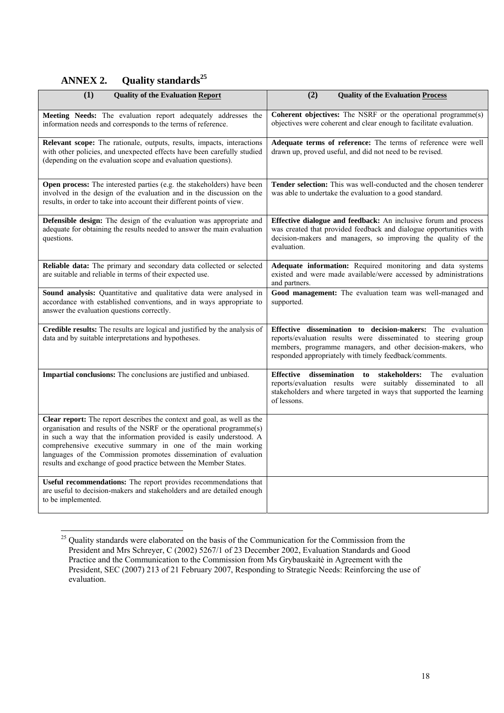# **ANNEX 2. Quality standards<sup>25</sup>**

<span id="page-17-0"></span>

| (1)<br><b>Quality of the Evaluation Report</b>                                                                                                                                                                                                                                                                                                                                                                               | (2)<br><b>Quality of the Evaluation Process</b>                                                                                                                                                                                                       |
|------------------------------------------------------------------------------------------------------------------------------------------------------------------------------------------------------------------------------------------------------------------------------------------------------------------------------------------------------------------------------------------------------------------------------|-------------------------------------------------------------------------------------------------------------------------------------------------------------------------------------------------------------------------------------------------------|
| Meeting Needs: The evaluation report adequately addresses the<br>information needs and corresponds to the terms of reference.                                                                                                                                                                                                                                                                                                | <b>Coherent objectives:</b> The NSRF or the operational programme(s)<br>objectives were coherent and clear enough to facilitate evaluation.                                                                                                           |
| Relevant scope: The rationale, outputs, results, impacts, interactions<br>with other policies, and unexpected effects have been carefully studied<br>(depending on the evaluation scope and evaluation questions).                                                                                                                                                                                                           | Adequate terms of reference: The terms of reference were well<br>drawn up, proved useful, and did not need to be revised.                                                                                                                             |
| Open process: The interested parties (e.g. the stakeholders) have been<br>involved in the design of the evaluation and in the discussion on the<br>results, in order to take into account their different points of view.                                                                                                                                                                                                    | Tender selection: This was well-conducted and the chosen tenderer<br>was able to undertake the evaluation to a good standard.                                                                                                                         |
| Defensible design: The design of the evaluation was appropriate and<br>adequate for obtaining the results needed to answer the main evaluation<br>questions.                                                                                                                                                                                                                                                                 | Effective dialogue and feedback: An inclusive forum and process<br>was created that provided feedback and dialogue opportunities with<br>decision-makers and managers, so improving the quality of the<br>evaluation.                                 |
| Reliable data: The primary and secondary data collected or selected<br>are suitable and reliable in terms of their expected use.                                                                                                                                                                                                                                                                                             | Adequate information: Required monitoring and data systems<br>existed and were made available/were accessed by administrations<br>and partners.                                                                                                       |
| Sound analysis: Quantitative and qualitative data were analysed in<br>accordance with established conventions, and in ways appropriate to<br>answer the evaluation questions correctly.                                                                                                                                                                                                                                      | Good management: The evaluation team was well-managed and<br>supported.                                                                                                                                                                               |
| Credible results: The results are logical and justified by the analysis of<br>data and by suitable interpretations and hypotheses.                                                                                                                                                                                                                                                                                           | Effective dissemination to decision-makers: The evaluation<br>reports/evaluation results were disseminated to steering group<br>members, programme managers, and other decision-makers, who<br>responded appropriately with timely feedback/comments. |
| Impartial conclusions: The conclusions are justified and unbiased.                                                                                                                                                                                                                                                                                                                                                           | dissemination<br>Effective<br>to stakeholders:<br>The<br>evaluation<br>reports/evaluation results were suitably disseminated to all<br>stakeholders and where targeted in ways that supported the learning<br>of lessons.                             |
| Clear report: The report describes the context and goal, as well as the<br>organisation and results of the NSRF or the operational programme(s)<br>in such a way that the information provided is easily understood. A<br>comprehensive executive summary in one of the main working<br>languages of the Commission promotes dissemination of evaluation<br>results and exchange of good practice between the Member States. |                                                                                                                                                                                                                                                       |
| Useful recommendations: The report provides recommendations that<br>are useful to decision-makers and stakeholders and are detailed enough<br>to be implemented.                                                                                                                                                                                                                                                             |                                                                                                                                                                                                                                                       |

 $\overline{a}$ <sup>25</sup> Quality standards were elaborated on the basis of the Communication for the Commission from the President and Mrs Schreyer, C (2002) 5267/1 of 23 December 2002, Evaluation Standards and Good Practice and the Communication to the Commission from Ms Grybauskaitė in Agreement with the President, SEC (2007) 213 of 21 February 2007, Responding to Strategic Needs: Reinforcing the use of evaluation.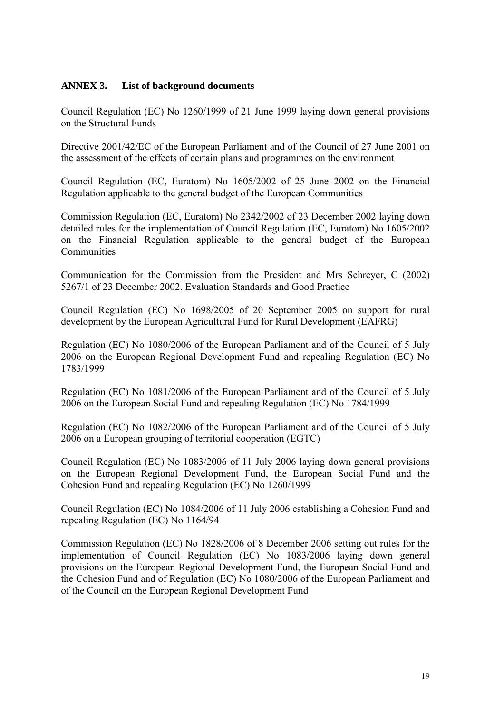## <span id="page-18-0"></span>**ANNEX 3. List of background documents**

Council Regulation (EC) No 1260/1999 of 21 June 1999 laying down general provisions on the Structural Funds

Directive 2001/42/EC of the European Parliament and of the Council of 27 June 2001 on the assessment of the effects of certain plans and programmes on the environment

Council Regulation (EC, Euratom) No 1605/2002 of 25 June 2002 on the Financial Regulation applicable to the general budget of the European Communities

Commission Regulation (EC, Euratom) No 2342/2002 of 23 December 2002 laying down detailed rules for the implementation of Council Regulation (EC, Euratom) No 1605/2002 on the Financial Regulation applicable to the general budget of the European Communities

Communication for the Commission from the President and Mrs Schreyer, C (2002) 5267/1 of 23 December 2002, Evaluation Standards and Good Practice

Council Regulation (EC) No 1698/2005 of 20 September 2005 on support for rural development by the European Agricultural Fund for Rural Development (EAFRG)

Regulation (EC) No 1080/2006 of the European Parliament and of the Council of 5 July 2006 on the European Regional Development Fund and repealing Regulation (EC) No 1783/1999

Regulation (EC) No 1081/2006 of the European Parliament and of the Council of 5 July 2006 on the European Social Fund and repealing Regulation (EC) No 1784/1999

Regulation (EC) No 1082/2006 of the European Parliament and of the Council of 5 July 2006 on a European grouping of territorial cooperation (EGTC)

Council Regulation (EC) No 1083/2006 of 11 July 2006 laying down general provisions on the European Regional Development Fund, the European Social Fund and the Cohesion Fund and repealing Regulation (EC) No 1260/1999

Council Regulation (EC) No 1084/2006 of 11 July 2006 establishing a Cohesion Fund and repealing Regulation (EC) No 1164/94

Commission Regulation (EC) No 1828/2006 of 8 December 2006 setting out rules for the implementation of Council Regulation (EC) No 1083/2006 laying down general provisions on the European Regional Development Fund, the European Social Fund and the Cohesion Fund and of Regulation (EC) No 1080/2006 of the European Parliament and of the Council on the European Regional Development Fund